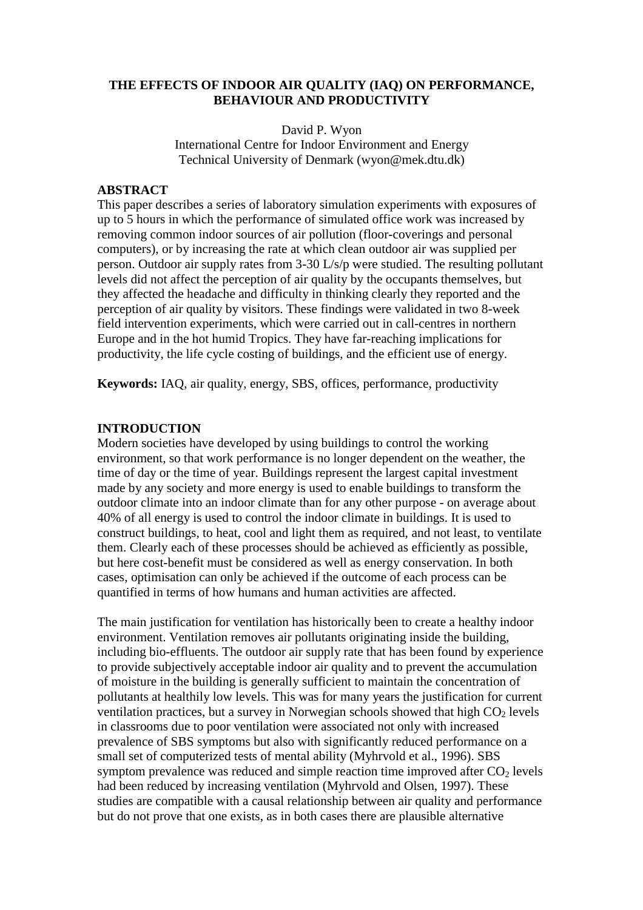#### **THE EFFECTS OF INDOOR AIR QUALITY (IAQ) ON PERFORMANCE, BEHAVIOUR AND PRODUCTIVITY**

David P. Wyon International Centre for Indoor Environment and Energy Technical University of Denmark (wyon@mek.dtu.dk)

#### **ABSTRACT**

This paper describes a series of laboratory simulation experiments with exposures of up to 5 hours in which the performance of simulated office work was increased by removing common indoor sources of air pollution (floor-coverings and personal computers), or by increasing the rate at which clean outdoor air was supplied per person. Outdoor air supply rates from 3-30 L/s/p were studied. The resulting pollutant levels did not affect the perception of air quality by the occupants themselves, but they affected the headache and difficulty in thinking clearly they reported and the perception of air quality by visitors. These findings were validated in two 8-week field intervention experiments, which were carried out in call-centres in northern Europe and in the hot humid Tropics. They have far-reaching implications for productivity, the life cycle costing of buildings, and the efficient use of energy.

**Keywords:** IAQ, air quality, energy, SBS, offices, performance, productivity

#### **INTRODUCTION**

Modern societies have developed by using buildings to control the working environment, so that work performance is no longer dependent on the weather, the time of day or the time of year. Buildings represent the largest capital investment made by any society and more energy is used to enable buildings to transform the outdoor climate into an indoor climate than for any other purpose - on average about 40% of all energy is used to control the indoor climate in buildings. It is used to construct buildings, to heat, cool and light them as required, and not least, to ventilate them. Clearly each of these processes should be achieved as efficiently as possible, but here cost-benefit must be considered as well as energy conservation. In both cases, optimisation can only be achieved if the outcome of each process can be quantified in terms of how humans and human activities are affected.

The main justification for ventilation has historically been to create a healthy indoor environment. Ventilation removes air pollutants originating inside the building, including bio-effluents. The outdoor air supply rate that has been found by experience to provide subjectively acceptable indoor air quality and to prevent the accumulation of moisture in the building is generally sufficient to maintain the concentration of pollutants at healthily low levels. This was for many years the justification for current ventilation practices, but a survey in Norwegian schools showed that high  $CO<sub>2</sub>$  levels in classrooms due to poor ventilation were associated not only with increased prevalence of SBS symptoms but also with significantly reduced performance on a small set of computerized tests of mental ability (Myhrvold et al., 1996). SBS symptom prevalence was reduced and simple reaction time improved after  $CO<sub>2</sub>$  levels had been reduced by increasing ventilation (Myhrvold and Olsen, 1997). These studies are compatible with a causal relationship between air quality and performance but do not prove that one exists, as in both cases there are plausible alternative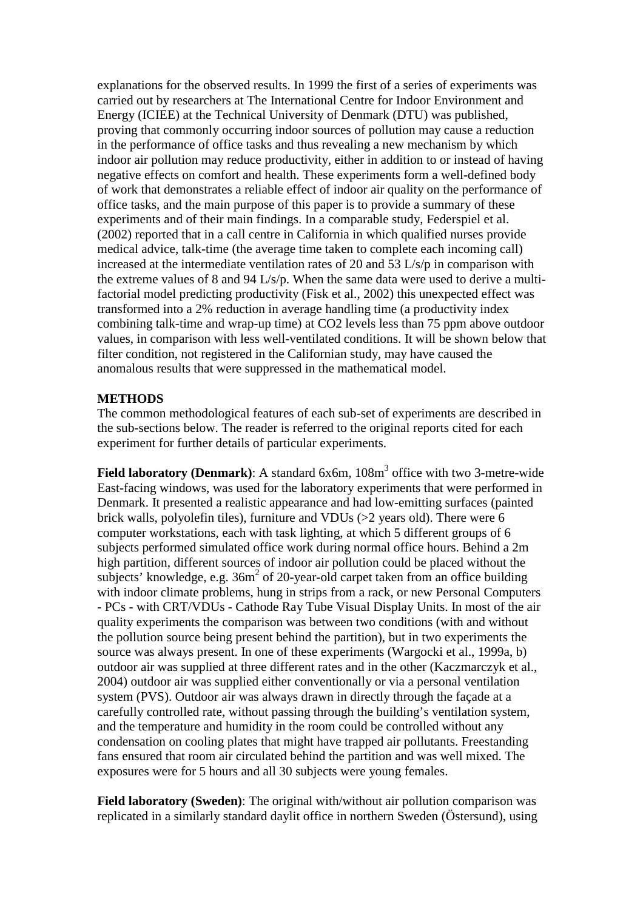explanations for the observed results. In 1999 the first of a series of experiments was carried out by researchers at The International Centre for Indoor Environment and Energy (ICIEE) at the Technical University of Denmark (DTU) was published, proving that commonly occurring indoor sources of pollution may cause a reduction in the performance of office tasks and thus revealing a new mechanism by which indoor air pollution may reduce productivity, either in addition to or instead of having negative effects on comfort and health. These experiments form a well-defined body of work that demonstrates a reliable effect of indoor air quality on the performance of office tasks, and the main purpose of this paper is to provide a summary of these experiments and of their main findings. In a comparable study, Federspiel et al. (2002) reported that in a call centre in California in which qualified nurses provide medical advice, talk-time (the average time taken to complete each incoming call) increased at the intermediate ventilation rates of 20 and 53 L/s/p in comparison with the extreme values of 8 and 94 L/s/p. When the same data were used to derive a multifactorial model predicting productivity (Fisk et al., 2002) this unexpected effect was transformed into a 2% reduction in average handling time (a productivity index combining talk-time and wrap-up time) at CO2 levels less than 75 ppm above outdoor values, in comparison with less well-ventilated conditions. It will be shown below that filter condition, not registered in the Californian study, may have caused the anomalous results that were suppressed in the mathematical model.

#### **METHODS**

The common methodological features of each sub-set of experiments are described in the sub-sections below. The reader is referred to the original reports cited for each experiment for further details of particular experiments.

**Field laboratory (Denmark)**: A standard 6x6m, 108m<sup>3</sup> office with two 3-metre-wide East-facing windows, was used for the laboratory experiments that were performed in Denmark. It presented a realistic appearance and had low-emitting surfaces (painted brick walls, polyolefin tiles), furniture and VDUs (>2 years old). There were 6 computer workstations, each with task lighting, at which 5 different groups of 6 subjects performed simulated office work during normal office hours. Behind a 2m high partition, different sources of indoor air pollution could be placed without the subjects' knowledge, e.g.  $36m^2$  of 20-year-old carpet taken from an office building with indoor climate problems, hung in strips from a rack, or new Personal Computers - PCs - with CRT/VDUs - Cathode Ray Tube Visual Display Units. In most of the air quality experiments the comparison was between two conditions (with and without the pollution source being present behind the partition), but in two experiments the source was always present. In one of these experiments (Wargocki et al., 1999a, b) outdoor air was supplied at three different rates and in the other (Kaczmarczyk et al., 2004) outdoor air was supplied either conventionally or via a personal ventilation system (PVS). Outdoor air was always drawn in directly through the façade at a carefully controlled rate, without passing through the building's ventilation system, and the temperature and humidity in the room could be controlled without any condensation on cooling plates that might have trapped air pollutants. Freestanding fans ensured that room air circulated behind the partition and was well mixed. The exposures were for 5 hours and all 30 subjects were young females.

**Field laboratory (Sweden)**: The original with/without air pollution comparison was replicated in a similarly standard daylit office in northern Sweden (Östersund), using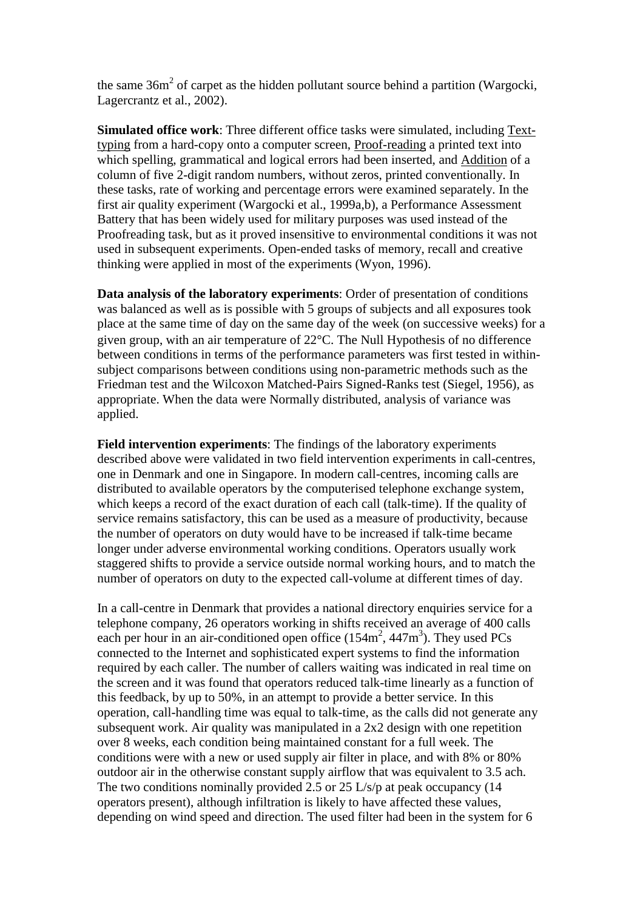the same  $36m^2$  of carpet as the hidden pollutant source behind a partition (Wargocki, Lagercrantz et al., 2002).

**Simulated office work**: Three different office tasks were simulated, including Texttyping from a hard-copy onto a computer screen, Proof-reading a printed text into which spelling, grammatical and logical errors had been inserted, and Addition of a column of five 2-digit random numbers, without zeros, printed conventionally. In these tasks, rate of working and percentage errors were examined separately. In the first air quality experiment (Wargocki et al., 1999a,b), a Performance Assessment Battery that has been widely used for military purposes was used instead of the Proofreading task, but as it proved insensitive to environmental conditions it was not used in subsequent experiments. Open-ended tasks of memory, recall and creative thinking were applied in most of the experiments (Wyon, 1996).

**Data analysis of the laboratory experiments**: Order of presentation of conditions was balanced as well as is possible with 5 groups of subjects and all exposures took place at the same time of day on the same day of the week (on successive weeks) for a given group, with an air temperature of 22°C. The Null Hypothesis of no difference between conditions in terms of the performance parameters was first tested in withinsubject comparisons between conditions using non-parametric methods such as the Friedman test and the Wilcoxon Matched-Pairs Signed-Ranks test (Siegel, 1956), as appropriate. When the data were Normally distributed, analysis of variance was applied.

**Field intervention experiments**: The findings of the laboratory experiments described above were validated in two field intervention experiments in call-centres, one in Denmark and one in Singapore. In modern call-centres, incoming calls are distributed to available operators by the computerised telephone exchange system, which keeps a record of the exact duration of each call (talk-time). If the quality of service remains satisfactory, this can be used as a measure of productivity, because the number of operators on duty would have to be increased if talk-time became longer under adverse environmental working conditions. Operators usually work staggered shifts to provide a service outside normal working hours, and to match the number of operators on duty to the expected call-volume at different times of day.

In a call-centre in Denmark that provides a national directory enquiries service for a telephone company, 26 operators working in shifts received an average of 400 calls each per hour in an air-conditioned open office  $(154m^2, 447m^3)$ . They used PCs connected to the Internet and sophisticated expert systems to find the information required by each caller. The number of callers waiting was indicated in real time on the screen and it was found that operators reduced talk-time linearly as a function of this feedback, by up to 50%, in an attempt to provide a better service. In this operation, call-handling time was equal to talk-time, as the calls did not generate any subsequent work. Air quality was manipulated in a 2x2 design with one repetition over 8 weeks, each condition being maintained constant for a full week. The conditions were with a new or used supply air filter in place, and with 8% or 80% outdoor air in the otherwise constant supply airflow that was equivalent to 3.5 ach. The two conditions nominally provided 2.5 or 25 L/s/p at peak occupancy (14) operators present), although infiltration is likely to have affected these values, depending on wind speed and direction. The used filter had been in the system for 6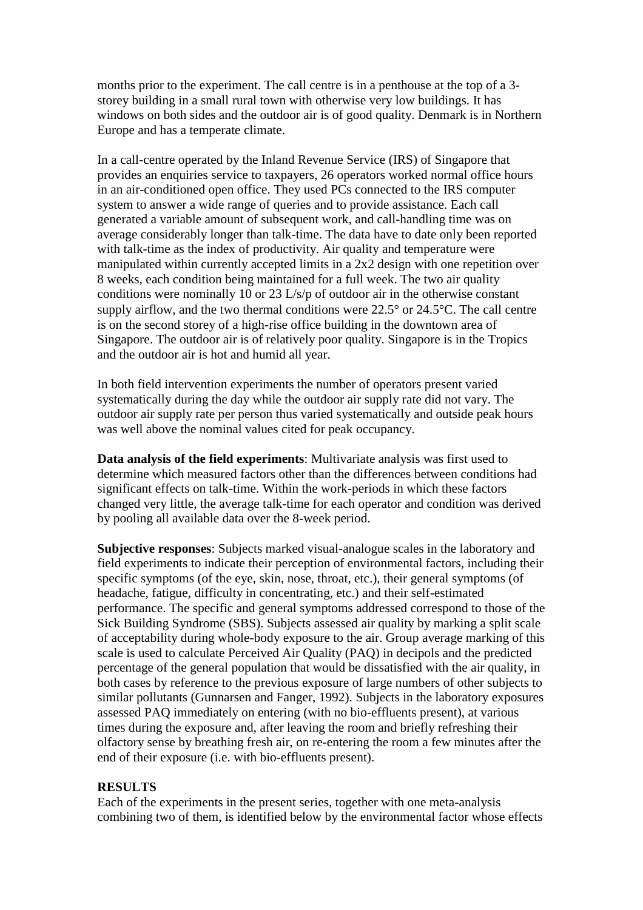months prior to the experiment. The call centre is in a penthouse at the top of a 3 storey building in a small rural town with otherwise very low buildings. It has windows on both sides and the outdoor air is of good quality. Denmark is in Northern Europe and has a temperate climate.

In a call-centre operated by the Inland Revenue Service (IRS) of Singapore that provides an enquiries service to taxpayers, 26 operators worked normal office hours in an air-conditioned open office. They used PCs connected to the IRS computer system to answer a wide range of queries and to provide assistance. Each call generated a variable amount of subsequent work, and call-handling time was on average considerably longer than talk-time. The data have to date only been reported with talk-time as the index of productivity. Air quality and temperature were manipulated within currently accepted limits in a 2x2 design with one repetition over 8 weeks, each condition being maintained for a full week. The two air quality conditions were nominally 10 or 23 L/s/p of outdoor air in the otherwise constant supply airflow, and the two thermal conditions were 22.5° or 24.5°C. The call centre is on the second storey of a high-rise office building in the downtown area of Singapore. The outdoor air is of relatively poor quality. Singapore is in the Tropics and the outdoor air is hot and humid all year.

In both field intervention experiments the number of operators present varied systematically during the day while the outdoor air supply rate did not vary. The outdoor air supply rate per person thus varied systematically and outside peak hours was well above the nominal values cited for peak occupancy.

**Data analysis of the field experiments**: Multivariate analysis was first used to determine which measured factors other than the differences between conditions had significant effects on talk-time. Within the work-periods in which these factors changed very little, the average talk-time for each operator and condition was derived by pooling all available data over the 8-week period.

**Subjective responses**: Subjects marked visual-analogue scales in the laboratory and field experiments to indicate their perception of environmental factors, including their specific symptoms (of the eye, skin, nose, throat, etc.), their general symptoms (of headache, fatigue, difficulty in concentrating, etc.) and their self-estimated performance. The specific and general symptoms addressed correspond to those of the Sick Building Syndrome (SBS). Subjects assessed air quality by marking a split scale of acceptability during whole-body exposure to the air. Group average marking of this scale is used to calculate Perceived Air Quality (PAQ) in decipols and the predicted percentage of the general population that would be dissatisfied with the air quality, in both cases by reference to the previous exposure of large numbers of other subjects to similar pollutants (Gunnarsen and Fanger, 1992). Subjects in the laboratory exposures assessed PAQ immediately on entering (with no bio-effluents present), at various times during the exposure and, after leaving the room and briefly refreshing their olfactory sense by breathing fresh air, on re-entering the room a few minutes after the end of their exposure (i.e. with bio-effluents present).

## **RESULTS**

Each of the experiments in the present series, together with one meta-analysis combining two of them, is identified below by the environmental factor whose effects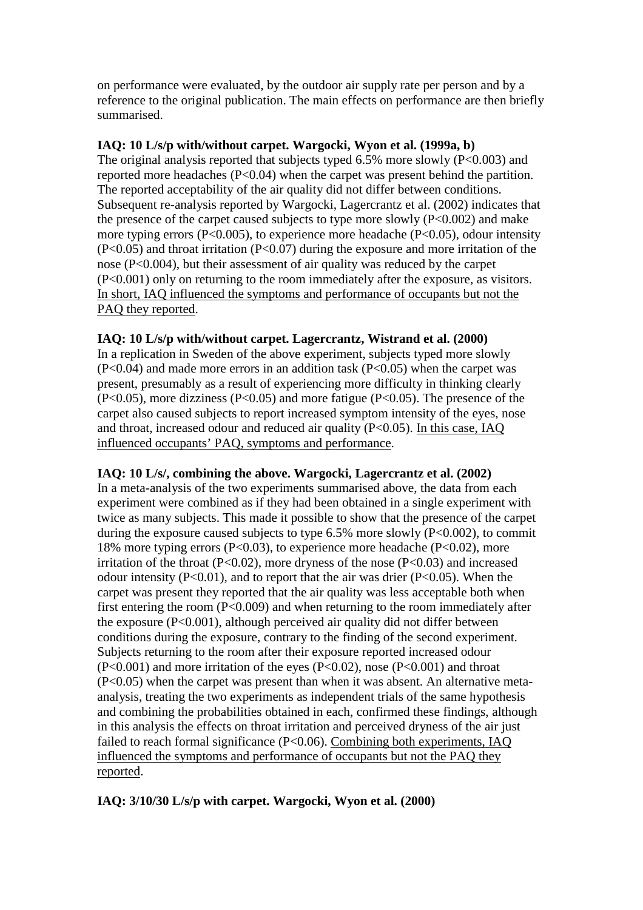on performance were evaluated, by the outdoor air supply rate per person and by a reference to the original publication. The main effects on performance are then briefly summarised.

## **IAQ: 10 L/s/p with/without carpet. Wargocki, Wyon et al. (1999a, b)**

The original analysis reported that subjects typed 6.5% more slowly (P<0.003) and reported more headaches (P<0.04) when the carpet was present behind the partition. The reported acceptability of the air quality did not differ between conditions. Subsequent re-analysis reported by Wargocki, Lagercrantz et al. (2002) indicates that the presence of the carpet caused subjects to type more slowly  $(P<0.002)$  and make more typing errors (P<0.005), to experience more headache (P<0.05), odour intensity (P<0.05) and throat irritation (P<0.07) during the exposure and more irritation of the nose (P<0.004), but their assessment of air quality was reduced by the carpet (P<0.001) only on returning to the room immediately after the exposure, as visitors. In short, IAQ influenced the symptoms and performance of occupants but not the PAQ they reported.

## **IAQ: 10 L/s/p with/without carpet. Lagercrantz, Wistrand et al. (2000)**

In a replication in Sweden of the above experiment, subjects typed more slowly  $(P<0.04)$  and made more errors in an addition task  $(P<0.05)$  when the carpet was present, presumably as a result of experiencing more difficulty in thinking clearly  $(P<0.05)$ , more dizziness  $(P<0.05)$  and more fatigue  $(P<0.05)$ . The presence of the carpet also caused subjects to report increased symptom intensity of the eyes, nose and throat, increased odour and reduced air quality (P<0.05). In this case, IAQ influenced occupants' PAQ, symptoms and performance.

# **IAQ: 10 L/s/, combining the above. Wargocki, Lagercrantz et al. (2002)**

In a meta-analysis of the two experiments summarised above, the data from each experiment were combined as if they had been obtained in a single experiment with twice as many subjects. This made it possible to show that the presence of the carpet during the exposure caused subjects to type  $6.5\%$  more slowly (P<0.002), to commit 18% more typing errors (P<0.03), to experience more headache (P<0.02), more irritation of the throat  $(P<0.02)$ , more dryness of the nose  $(P<0.03)$  and increased odour intensity  $(P<0.01)$ , and to report that the air was drier  $(P<0.05)$ . When the carpet was present they reported that the air quality was less acceptable both when first entering the room (P<0.009) and when returning to the room immediately after the exposure  $(P<0.001)$ , although perceived air quality did not differ between conditions during the exposure, contrary to the finding of the second experiment. Subjects returning to the room after their exposure reported increased odour (P<0.001) and more irritation of the eyes (P<0.02), nose (P<0.001) and throat (P<0.05) when the carpet was present than when it was absent. An alternative metaanalysis, treating the two experiments as independent trials of the same hypothesis and combining the probabilities obtained in each, confirmed these findings, although in this analysis the effects on throat irritation and perceived dryness of the air just failed to reach formal significance (P<0.06). Combining both experiments, IAQ influenced the symptoms and performance of occupants but not the PAQ they reported.

# **IAQ: 3/10/30 L/s/p with carpet. Wargocki, Wyon et al. (2000)**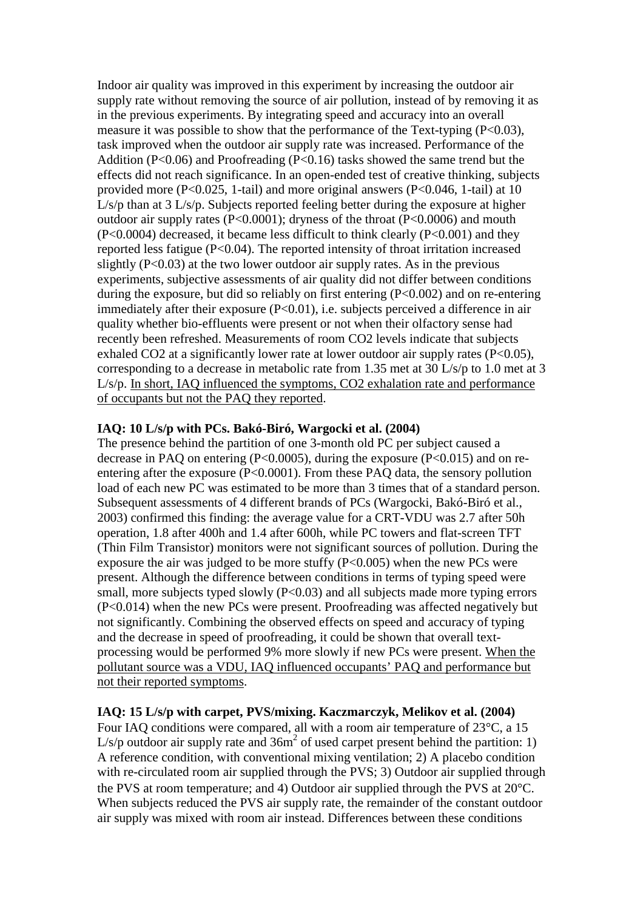Indoor air quality was improved in this experiment by increasing the outdoor air supply rate without removing the source of air pollution, instead of by removing it as in the previous experiments. By integrating speed and accuracy into an overall measure it was possible to show that the performance of the Text-typing  $(P<0.03)$ , task improved when the outdoor air supply rate was increased. Performance of the Addition ( $P<0.06$ ) and Proofreading ( $P<0.16$ ) tasks showed the same trend but the effects did not reach significance. In an open-ended test of creative thinking, subjects provided more (P<0.025, 1-tail) and more original answers (P<0.046, 1-tail) at 10 L/s/p than at 3 L/s/p. Subjects reported feeling better during the exposure at higher outdoor air supply rates (P<0.0001); dryness of the throat (P<0.0006) and mouth (P<0.0004) decreased, it became less difficult to think clearly (P<0.001) and they reported less fatigue (P<0.04). The reported intensity of throat irritation increased slightly  $(P<0.03)$  at the two lower outdoor air supply rates. As in the previous experiments, subjective assessments of air quality did not differ between conditions during the exposure, but did so reliably on first entering (P<0.002) and on re-entering immediately after their exposure (P<0.01), i.e. subjects perceived a difference in air quality whether bio-effluents were present or not when their olfactory sense had recently been refreshed. Measurements of room CO2 levels indicate that subjects exhaled CO2 at a significantly lower rate at lower outdoor air supply rates (P<0.05), corresponding to a decrease in metabolic rate from 1.35 met at 30 L/s/p to 1.0 met at 3 L/s/p. In short, IAQ influenced the symptoms, CO2 exhalation rate and performance of occupants but not the PAQ they reported.

## **IAQ: 10 L/s/p with PCs. Bakó-Biró, Wargocki et al. (2004)**

The presence behind the partition of one 3-month old PC per subject caused a decrease in PAQ on entering  $(P<0.0005)$ , during the exposure  $(P<0.015)$  and on reentering after the exposure (P<0.0001). From these PAQ data, the sensory pollution load of each new PC was estimated to be more than 3 times that of a standard person. Subsequent assessments of 4 different brands of PCs (Wargocki, Bakó-Biró et al., 2003) confirmed this finding: the average value for a CRT-VDU was 2.7 after 50h operation, 1.8 after 400h and 1.4 after 600h, while PC towers and flat-screen TFT (Thin Film Transistor) monitors were not significant sources of pollution. During the exposure the air was judged to be more stuffy  $(P<0.005)$  when the new PCs were present. Although the difference between conditions in terms of typing speed were small, more subjects typed slowly  $(P<0.03)$  and all subjects made more typing errors (P<0.014) when the new PCs were present. Proofreading was affected negatively but not significantly. Combining the observed effects on speed and accuracy of typing and the decrease in speed of proofreading, it could be shown that overall textprocessing would be performed 9% more slowly if new PCs were present. When the pollutant source was a VDU, IAQ influenced occupants' PAQ and performance but not their reported symptoms.

## **IAQ: 15 L/s/p with carpet, PVS/mixing. Kaczmarczyk, Melikov et al. (2004)**

Four IAQ conditions were compared, all with a room air temperature of 23°C, a 15  $L/s/p$  outdoor air supply rate and  $36m<sup>2</sup>$  of used carpet present behind the partition: 1) A reference condition, with conventional mixing ventilation; 2) A placebo condition with re-circulated room air supplied through the PVS; 3) Outdoor air supplied through the PVS at room temperature; and 4) Outdoor air supplied through the PVS at 20°C. When subjects reduced the PVS air supply rate, the remainder of the constant outdoor air supply was mixed with room air instead. Differences between these conditions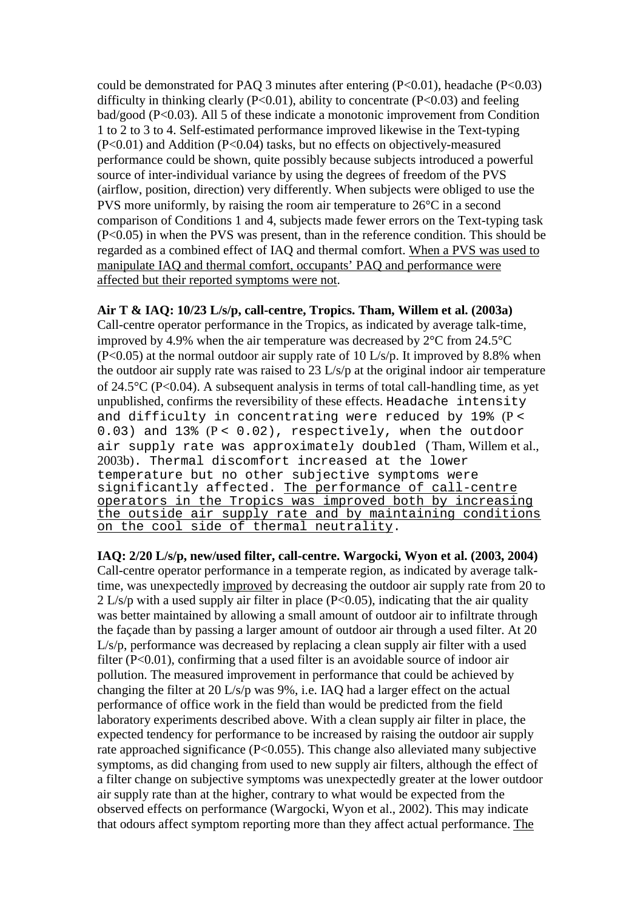could be demonstrated for PAQ 3 minutes after entering  $(P<0.01)$ , headache  $(P<0.03)$ difficulty in thinking clearly ( $P<0.01$ ), ability to concentrate ( $P<0.03$ ) and feeling bad/good (P<0.03). All 5 of these indicate a monotonic improvement from Condition 1 to 2 to 3 to 4. Self-estimated performance improved likewise in the Text-typing (P<0.01) and Addition (P<0.04) tasks, but no effects on objectively-measured performance could be shown, quite possibly because subjects introduced a powerful source of inter-individual variance by using the degrees of freedom of the PVS (airflow, position, direction) very differently. When subjects were obliged to use the PVS more uniformly, by raising the room air temperature to 26°C in a second comparison of Conditions 1 and 4, subjects made fewer errors on the Text-typing task (P<0.05) in when the PVS was present, than in the reference condition. This should be regarded as a combined effect of IAQ and thermal comfort. When a PVS was used to manipulate IAQ and thermal comfort, occupants' PAQ and performance were affected but their reported symptoms were not.

**Air T & IAQ: 10/23 L/s/p, call-centre, Tropics. Tham, Willem et al. (2003a)** Call-centre operator performance in the Tropics, as indicated by average talk-time, improved by 4.9% when the air temperature was decreased by 2°C from 24.5°C  $(P<0.05)$  at the normal outdoor air supply rate of 10 L/s/p. It improved by 8.8% when the outdoor air supply rate was raised to 23 L/s/p at the original indoor air temperature of 24.5°C (P<0.04). A subsequent analysis in terms of total call-handling time, as yet unpublished, confirms the reversibility of these effects. Headache intensity and difficulty in concentrating were reduced by 19% (P < 0.03) and 13%  $(P < 0.02)$ , respectively, when the outdoor air supply rate was approximately doubled (Tham, Willem et al., 2003b). Thermal discomfort increased at the lower temperature but no other subjective symptoms were significantly affected. The performance of call-centre operators in the Tropics was improved both by increasing the outside air supply rate and by maintaining conditions on the cool side of thermal neutrality.

**IAQ: 2/20 L/s/p, new/used filter, call-centre. Wargocki, Wyon et al. (2003, 2004)**  Call-centre operator performance in a temperate region, as indicated by average talktime, was unexpectedly improved by decreasing the outdoor air supply rate from 20 to 2 L/s/p with a used supply air filter in place (P<0.05), indicating that the air quality was better maintained by allowing a small amount of outdoor air to infiltrate through the façade than by passing a larger amount of outdoor air through a used filter. At 20 L/s/p, performance was decreased by replacing a clean supply air filter with a used filter  $(P<0.01)$ , confirming that a used filter is an avoidable source of indoor air pollution. The measured improvement in performance that could be achieved by changing the filter at 20 L/s/p was 9%, i.e. IAQ had a larger effect on the actual performance of office work in the field than would be predicted from the field laboratory experiments described above. With a clean supply air filter in place, the expected tendency for performance to be increased by raising the outdoor air supply rate approached significance (P<0.055). This change also alleviated many subjective symptoms, as did changing from used to new supply air filters, although the effect of a filter change on subjective symptoms was unexpectedly greater at the lower outdoor air supply rate than at the higher, contrary to what would be expected from the observed effects on performance (Wargocki, Wyon et al., 2002). This may indicate that odours affect symptom reporting more than they affect actual performance. The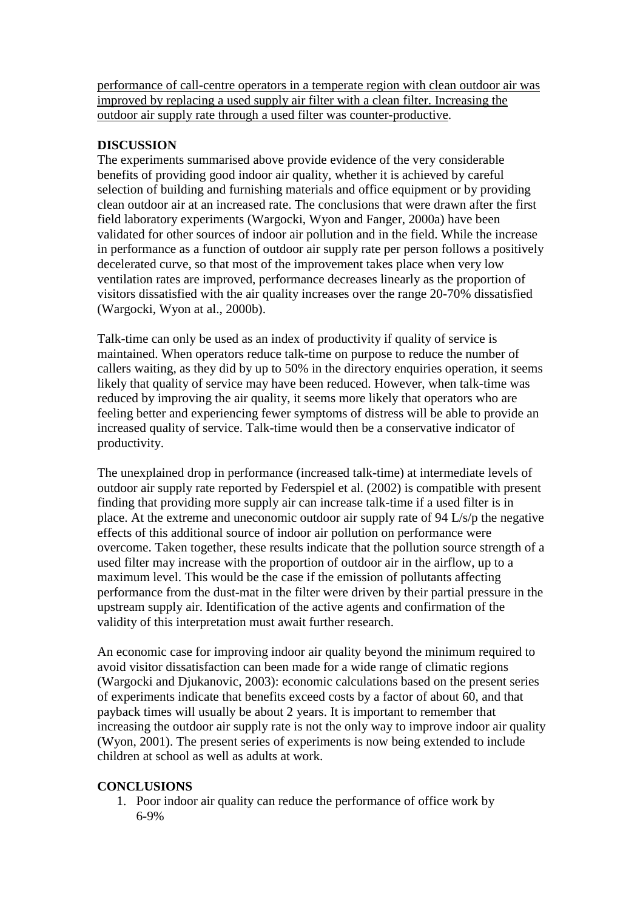performance of call-centre operators in a temperate region with clean outdoor air was improved by replacing a used supply air filter with a clean filter. Increasing the outdoor air supply rate through a used filter was counter-productive.

# **DISCUSSION**

The experiments summarised above provide evidence of the very considerable benefits of providing good indoor air quality, whether it is achieved by careful selection of building and furnishing materials and office equipment or by providing clean outdoor air at an increased rate. The conclusions that were drawn after the first field laboratory experiments (Wargocki, Wyon and Fanger, 2000a) have been validated for other sources of indoor air pollution and in the field. While the increase in performance as a function of outdoor air supply rate per person follows a positively decelerated curve, so that most of the improvement takes place when very low ventilation rates are improved, performance decreases linearly as the proportion of visitors dissatisfied with the air quality increases over the range 20-70% dissatisfied (Wargocki, Wyon at al., 2000b).

Talk-time can only be used as an index of productivity if quality of service is maintained. When operators reduce talk-time on purpose to reduce the number of callers waiting, as they did by up to 50% in the directory enquiries operation, it seems likely that quality of service may have been reduced. However, when talk-time was reduced by improving the air quality, it seems more likely that operators who are feeling better and experiencing fewer symptoms of distress will be able to provide an increased quality of service. Talk-time would then be a conservative indicator of productivity.

The unexplained drop in performance (increased talk-time) at intermediate levels of outdoor air supply rate reported by Federspiel et al. (2002) is compatible with present finding that providing more supply air can increase talk-time if a used filter is in place. At the extreme and uneconomic outdoor air supply rate of 94 L/s/p the negative effects of this additional source of indoor air pollution on performance were overcome. Taken together, these results indicate that the pollution source strength of a used filter may increase with the proportion of outdoor air in the airflow, up to a maximum level. This would be the case if the emission of pollutants affecting performance from the dust-mat in the filter were driven by their partial pressure in the upstream supply air. Identification of the active agents and confirmation of the validity of this interpretation must await further research.

An economic case for improving indoor air quality beyond the minimum required to avoid visitor dissatisfaction can been made for a wide range of climatic regions (Wargocki and Djukanovic, 2003): economic calculations based on the present series of experiments indicate that benefits exceed costs by a factor of about 60, and that payback times will usually be about 2 years. It is important to remember that increasing the outdoor air supply rate is not the only way to improve indoor air quality (Wyon, 2001). The present series of experiments is now being extended to include children at school as well as adults at work.

# **CONCLUSIONS**

1. Poor indoor air quality can reduce the performance of office work by 6-9%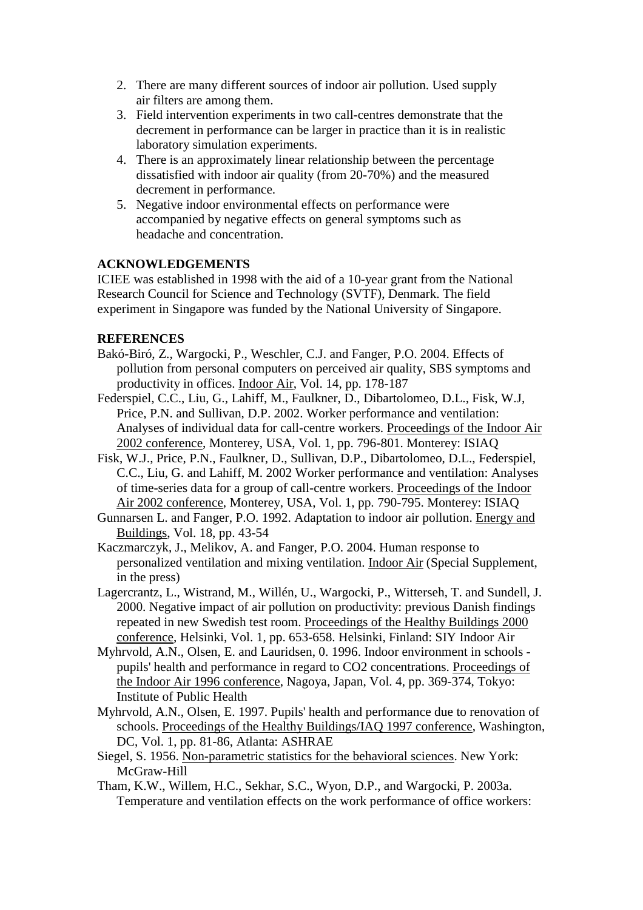- 2. There are many different sources of indoor air pollution. Used supply air filters are among them.
- 3. Field intervention experiments in two call-centres demonstrate that the decrement in performance can be larger in practice than it is in realistic laboratory simulation experiments.
- 4. There is an approximately linear relationship between the percentage dissatisfied with indoor air quality (from 20-70%) and the measured decrement in performance.
- 5. Negative indoor environmental effects on performance were accompanied by negative effects on general symptoms such as headache and concentration.

## **ACKNOWLEDGEMENTS**

ICIEE was established in 1998 with the aid of a 10-year grant from the National Research Council for Science and Technology (SVTF), Denmark. The field experiment in Singapore was funded by the National University of Singapore.

## **REFERENCES**

- Bakó-Biró, Z., Wargocki, P., Weschler, C.J. and Fanger, P.O. 2004. Effects of pollution from personal computers on perceived air quality, SBS symptoms and productivity in offices. Indoor Air, Vol. 14, pp. 178-187
- Federspiel, C.C., Liu, G., Lahiff, M., Faulkner, D., Dibartolomeo, D.L., Fisk, W.J, Price, P.N. and Sullivan, D.P. 2002. Worker performance and ventilation: Analyses of individual data for call-centre workers. Proceedings of the Indoor Air 2002 conference, Monterey, USA, Vol. 1, pp. 796-801. Monterey: ISIAQ
- Fisk, W.J., Price, P.N., Faulkner, D., Sullivan, D.P., Dibartolomeo, D.L., Federspiel, C.C., Liu, G. and Lahiff, M. 2002 Worker performance and ventilation: Analyses of time-series data for a group of call-centre workers. Proceedings of the Indoor Air 2002 conference, Monterey, USA, Vol. 1, pp. 790-795. Monterey: ISIAQ
- Gunnarsen L. and Fanger, P.O. 1992. Adaptation to indoor air pollution. Energy and Buildings, Vol. 18, pp. 43-54
- Kaczmarczyk, J., Melikov, A. and Fanger, P.O. 2004. Human response to personalized ventilation and mixing ventilation. Indoor Air (Special Supplement, in the press)
- Lagercrantz, L., Wistrand, M., Willén, U., Wargocki, P., Witterseh, T. and Sundell, J. 2000. Negative impact of air pollution on productivity: previous Danish findings repeated in new Swedish test room. Proceedings of the Healthy Buildings 2000 conference, Helsinki, Vol. 1, pp. 653-658. Helsinki, Finland: SIY Indoor Air
- Myhrvold, A.N., Olsen, E. and Lauridsen, 0. 1996. Indoor environment in schools pupils' health and performance in regard to CO2 concentrations. Proceedings of the Indoor Air 1996 conference, Nagoya, Japan, Vol. 4, pp. 369-374, Tokyo: Institute of Public Health
- Myhrvold, A.N., Olsen, E. 1997. Pupils' health and performance due to renovation of schools. Proceedings of the Healthy Buildings/IAQ 1997 conference, Washington, DC, Vol. 1, pp. 81-86, Atlanta: ASHRAE
- Siegel, S. 1956. Non-parametric statistics for the behavioral sciences. New York: McGraw-Hill
- Tham, K.W., Willem, H.C., Sekhar, S.C., Wyon, D.P., and Wargocki, P. 2003a. Temperature and ventilation effects on the work performance of office workers: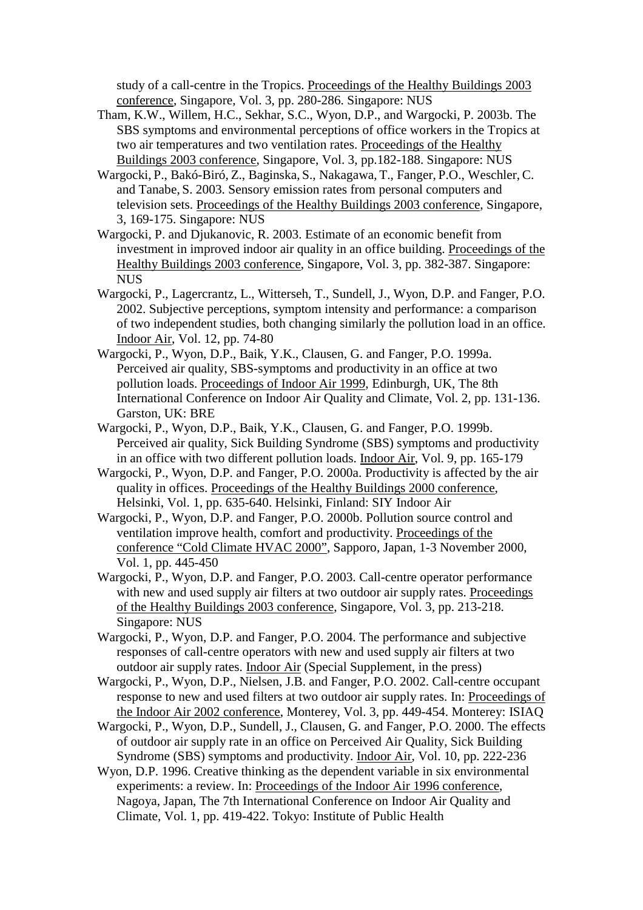study of a call-centre in the Tropics. Proceedings of the Healthy Buildings 2003 conference, Singapore, Vol. 3, pp. 280-286. Singapore: NUS

- Tham, K.W., Willem, H.C., Sekhar, S.C., Wyon, D.P., and Wargocki, P. 2003b. The SBS symptoms and environmental perceptions of office workers in the Tropics at two air temperatures and two ventilation rates. Proceedings of the Healthy Buildings 2003 conference, Singapore, Vol. 3, pp.182-188. Singapore: NUS
- Wargocki, P., Bakó-Biró, Z., Baginska, S., Nakagawa, T., Fanger, P.O., Weschler, C. and Tanabe, S. 2003. Sensory emission rates from personal computers and television sets. Proceedings of the Healthy Buildings 2003 conference, Singapore, 3, 169-175. Singapore: NUS
- Wargocki, P. and Djukanovic, R. 2003. Estimate of an economic benefit from investment in improved indoor air quality in an office building. Proceedings of the Healthy Buildings 2003 conference, Singapore, Vol. 3, pp. 382-387. Singapore: NUS
- Wargocki, P., Lagercrantz, L., Witterseh, T., Sundell, J., Wyon, D.P. and Fanger, P.O. 2002. Subjective perceptions, symptom intensity and performance: a comparison of two independent studies, both changing similarly the pollution load in an office. Indoor Air, Vol. 12, pp. 74-80
- Wargocki, P., Wyon, D.P., Baik, Y.K., Clausen, G. and Fanger, P.O. 1999a. Perceived air quality, SBS-symptoms and productivity in an office at two pollution loads. Proceedings of Indoor Air 1999, Edinburgh, UK, The 8th International Conference on Indoor Air Quality and Climate, Vol. 2, pp. 131-136. Garston, UK: BRE
- Wargocki, P., Wyon, D.P., Baik, Y.K., Clausen, G. and Fanger, P.O. 1999b. Perceived air quality, Sick Building Syndrome (SBS) symptoms and productivity in an office with two different pollution loads. Indoor Air, Vol. 9, pp. 165-179
- Wargocki, P., Wyon, D.P. and Fanger, P.O. 2000a. Productivity is affected by the air quality in offices. Proceedings of the Healthy Buildings 2000 conference, Helsinki, Vol. 1, pp. 635-640. Helsinki, Finland: SIY Indoor Air
- Wargocki, P., Wyon, D.P. and Fanger, P.O. 2000b. Pollution source control and ventilation improve health, comfort and productivity. Proceedings of the conference "Cold Climate HVAC 2000", Sapporo, Japan, 1-3 November 2000, Vol. 1, pp. 445-450
- Wargocki, P., Wyon, D.P. and Fanger, P.O. 2003. Call-centre operator performance with new and used supply air filters at two outdoor air supply rates. Proceedings of the Healthy Buildings 2003 conference, Singapore, Vol. 3, pp. 213-218. Singapore: NUS
- Wargocki, P., Wyon, D.P. and Fanger, P.O. 2004. The performance and subjective responses of call-centre operators with new and used supply air filters at two outdoor air supply rates. Indoor Air (Special Supplement, in the press)
- Wargocki, P., Wyon, D.P., Nielsen, J.B. and Fanger, P.O. 2002. Call-centre occupant response to new and used filters at two outdoor air supply rates. In: Proceedings of the Indoor Air 2002 conference, Monterey, Vol. 3, pp. 449-454. Monterey: ISIAQ
- Wargocki, P., Wyon, D.P., Sundell, J., Clausen, G. and Fanger, P.O. 2000. The effects of outdoor air supply rate in an office on Perceived Air Quality, Sick Building Syndrome (SBS) symptoms and productivity. Indoor Air, Vol. 10, pp. 222-236
- Wyon, D.P. 1996. Creative thinking as the dependent variable in six environmental experiments: a review. In: Proceedings of the Indoor Air 1996 conference, Nagoya, Japan, The 7th International Conference on Indoor Air Quality and Climate, Vol. 1, pp. 419-422. Tokyo: Institute of Public Health